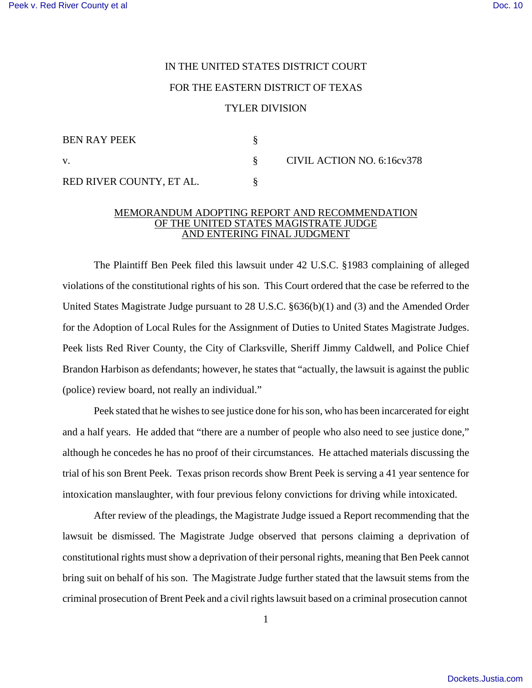## IN THE UNITED STATES DISTRICT COURT FOR THE EASTERN DISTRICT OF TEXAS TYLER DIVISION

| BEN RAY PEEK             |                            |
|--------------------------|----------------------------|
| V.                       | CIVIL ACTION NO. 6:16cv378 |
| RED RIVER COUNTY, ET AL. |                            |

## MEMORANDUM ADOPTING REPORT AND RECOMMENDATION OF THE UNITED STATES MAGISTRATE JUDGE AND ENTERING FINAL JUDGMENT

The Plaintiff Ben Peek filed this lawsuit under 42 U.S.C. §1983 complaining of alleged violations of the constitutional rights of his son. This Court ordered that the case be referred to the United States Magistrate Judge pursuant to 28 U.S.C. §636(b)(1) and (3) and the Amended Order for the Adoption of Local Rules for the Assignment of Duties to United States Magistrate Judges. Peek lists Red River County, the City of Clarksville, Sheriff Jimmy Caldwell, and Police Chief Brandon Harbison as defendants; however, he states that "actually, the lawsuit is against the public (police) review board, not really an individual."

Peek stated that he wishes to see justice done for his son, who has been incarcerated for eight and a half years. He added that "there are a number of people who also need to see justice done," although he concedes he has no proof of their circumstances. He attached materials discussing the trial of his son Brent Peek. Texas prison records show Brent Peek is serving a 41 year sentence for intoxication manslaughter, with four previous felony convictions for driving while intoxicated.

After review of the pleadings, the Magistrate Judge issued a Report recommending that the lawsuit be dismissed. The Magistrate Judge observed that persons claiming a deprivation of constitutional rights must show a deprivation of their personal rights, meaning that Ben Peek cannot bring suit on behalf of his son. The Magistrate Judge further stated that the lawsuit stems from the criminal prosecution of Brent Peek and a civil rightslawsuit based on a criminal prosecution cannot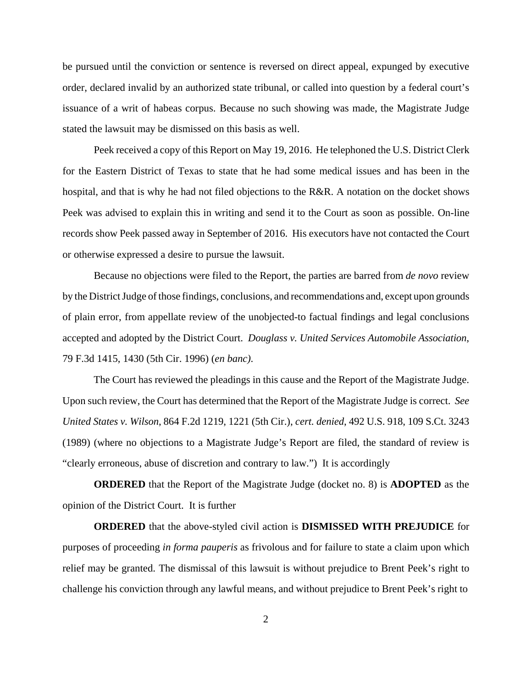be pursued until the conviction or sentence is reversed on direct appeal, expunged by executive order, declared invalid by an authorized state tribunal, or called into question by a federal court's issuance of a writ of habeas corpus. Because no such showing was made, the Magistrate Judge stated the lawsuit may be dismissed on this basis as well.

Peek received a copy of this Report on May 19, 2016. He telephoned the U.S. District Clerk for the Eastern District of Texas to state that he had some medical issues and has been in the hospital, and that is why he had not filed objections to the R&R. A notation on the docket shows Peek was advised to explain this in writing and send it to the Court as soon as possible. On-line records show Peek passed away in September of 2016. His executors have not contacted the Court or otherwise expressed a desire to pursue the lawsuit.

Because no objections were filed to the Report, the parties are barred from *de novo* review by the District Judge of those findings, conclusions, and recommendations and, except upon grounds of plain error, from appellate review of the unobjected-to factual findings and legal conclusions accepted and adopted by the District Court. *Douglass v. United Services Automobile Association*, 79 F.3d 1415, 1430 (5th Cir. 1996) (*en banc)*.

The Court has reviewed the pleadings in this cause and the Report of the Magistrate Judge. Upon such review, the Court has determined that the Report of the Magistrate Judge is correct. *See United States v. Wilson*, 864 F.2d 1219, 1221 (5th Cir.), *cert. denied*, 492 U.S. 918, 109 S.Ct. 3243 (1989) (where no objections to a Magistrate Judge's Report are filed, the standard of review is "clearly erroneous, abuse of discretion and contrary to law.") It is accordingly

**ORDERED** that the Report of the Magistrate Judge (docket no. 8) is **ADOPTED** as the opinion of the District Court. It is further

**ORDERED** that the above-styled civil action is **DISMISSED WITH PREJUDICE** for purposes of proceeding *in forma pauperis* as frivolous and for failure to state a claim upon which relief may be granted. The dismissal of this lawsuit is without prejudice to Brent Peek's right to challenge his conviction through any lawful means, and without prejudice to Brent Peek's right to